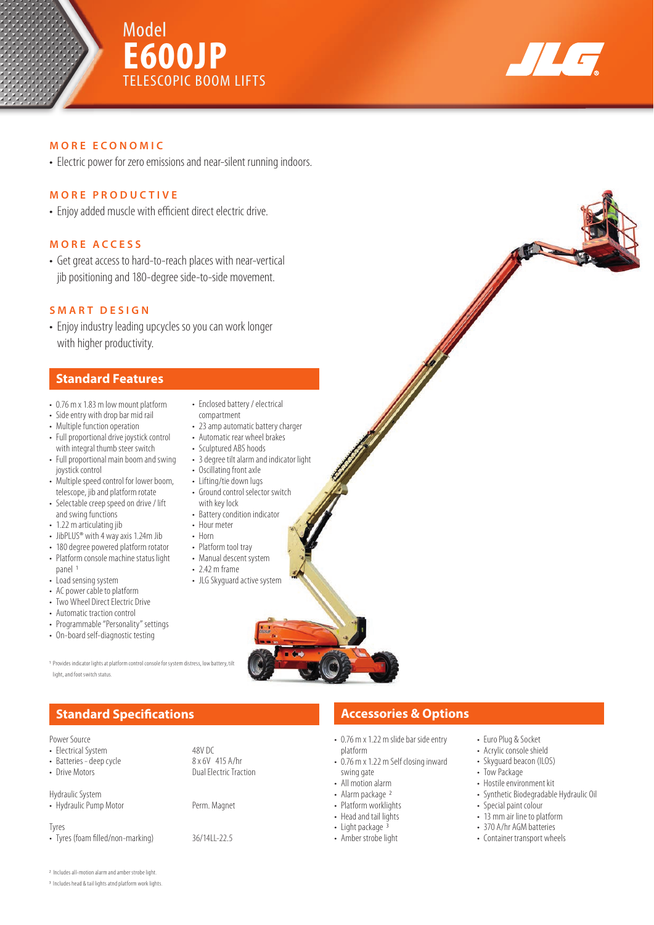





### **MORE ECONOMIC**

• Electric power for zero emissions and near-silent running indoors.

### **MORE PRODUCTIVE**

• Enjoy added muscle with efficient direct electric drive.

### **MORE ACCESS**

• Get great access to hard-to-reach places with near-vertical jib positioning and 180-degree side-to-side movement.

## **SMART DESIGN**

• Enjoy industry leading upcycles so you can work longer with higher productivity.

## **Standard Features**

- 0.76 m x 1.83 m low mount platform
- Side entry with drop bar mid rail
- Multiple function operation
- Full proportional drive joystick control with integral thumb steer switch
- Full proportional main boom and swing joystick control
- Multiple speed control for lower boom, telescope, jib and platform rotate
- Selectable creep speed on drive / lift and swing functions
- 1.22 m articulating jib
- JibPLUS<sup>®</sup> with 4 way axis 1.24m Jib
- 180 degree powered platform rotator
- Platform console machine status light panel 1
- Load sensing system
- AC power cable to platform
- Two Wheel Direct Electric Drive
- Automatic traction control
- Programmable "Personality" settings
- On-board self-diagnostic testing
- Enclosed battery / electrical compartment
- 23 amp automatic battery charger
- Automatic rear wheel brakes
- Sculptured ABS hoods
- 3 degree tilt alarm and indicator light
- Oscillating front axle • Lifting/tie down lugs
- Ground control selector switch with key lock
- Battery condition indicator
- Hour meter
- Horn
- Platform tool tray
- Manual descent system
- 2.42 m frame
- JLG Skyguard active system



1 Provides indicator lights at platform control console for system distress, low battery, tilt light, and foot switch status.

| Power Source |
|--------------|
|              |

| FUWEL JULILLE<br>• Electrical System<br>• Batteries - deep cycle<br>• Drive Motors | 48V DC<br>8 x 6V 415 A/hr<br><b>Dual Electric Traction</b> |
|------------------------------------------------------------------------------------|------------------------------------------------------------|
| Hydraulic System<br>• Hydraulic Pump Motor                                         | Perm. Magnet                                               |
| Tyres<br>• Tyres (foam filled/non-marking)                                         | 36/14LL-22.5                                               |

# **Standard Specifications Accessories & Options Accessories & Options**

- 0.76 m x 1.22 m slide bar side entry platform
- 0.76 m x 1.22 m Self closing inward swing gate
- All motion alarm
- Alarm package <sup>2</sup>
- Platform worklights
- Head and tail lights
- Light package  $3$
- Amber strobe light
- Euro Plug & Socket
- Acrylic console shield
- Skyguard beacon (ILOS)
- Tow Package
- Hostile environment kit
- Synthetic Biodegradable Hydraulic Oil
- Special paint colour
- 13 mm air line to platform
- 370 A/hr AGM batteries
- Container transport wheels

2 Includes all-motion alarm and amber strobe light.

3 Includes head & tail lights atnd platform work lights.